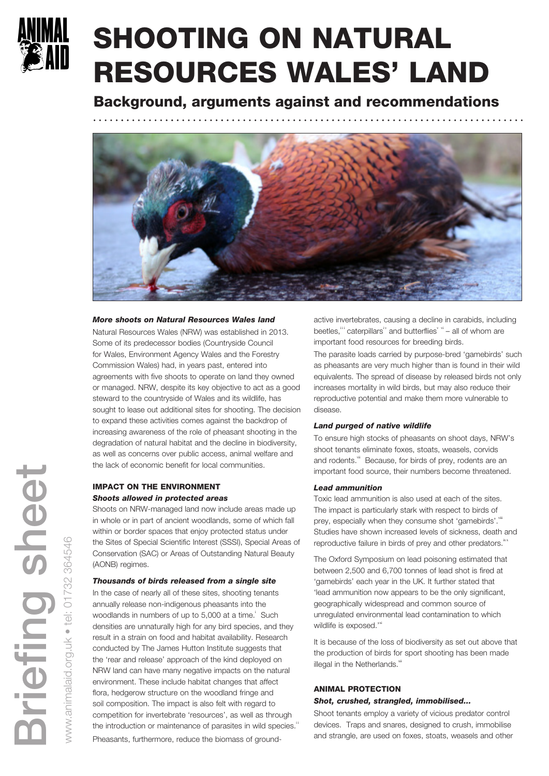

# SHOOTING ON NATURAL RESOURCES WALES' LAND

Background, arguments against and recommendations



## *More shoots on Natural Resources Wales land*

Natural Resources Wales (NRW) was established in 2013. Some of its predecessor bodies (Countryside Council for Wales, Environment Agency Wales and the Forestry Commission Wales) had, in years past, entered into agreements with five shoots to operate on land they owned or managed. NRW, despite its key objective to act as a good steward to the countryside of Wales and its wildlife, has sought to lease out additional sites for shooting. The decision to expand these activities comes against the backdrop of increasing awareness of the role of pheasant shooting in the degradation of natural habitat and the decline in biodiversity, as well as concerns over public access, animal welfare and the lack of economic benefit for local communities.

# IMPACT ON THE ENVIRONMENT *Shoots allowed in protected areas*

Shoots on NRW-managed land now include areas made up in whole or in part of ancient woodlands, some of which fall within or border spaces that enjoy protected status under the Sites of Special Scientific Interest (SSSI), Special Areas of Conservation (SAC) or Areas of Outstanding Natural Beauty (AONB) regimes.

## *Thousands of birds released from a single site*

In the case of nearly all of these sites, shooting tenants annually release non-indigenous pheasants into the woodlands in numbers of up to 5,000 at a time.<sup>1</sup> Such densities are unnaturally high for any bird species, and they result in a strain on food and habitat availability. Research conducted by The James Hutton Institute suggests that the 'rear and release' approach of the kind deployed on NRW land can have many negative impacts on the natural environment. These include habitat changes that affect flora, hedgerow structure on the woodland fringe and soil composition. The impact is also felt with regard to competition for invertebrate 'resources', as well as through the introduction or maintenance of parasites in wild species." Pheasants, furthermore, reduce the biomass of groundactive invertebrates, causing a decline in carabids, including beetles, ii caterpillars<sup>iv</sup> and butterflies<sup>v vi</sup> – all of whom are important food resources for breeding birds.

The parasite loads carried by purpose-bred 'gamebirds' such as pheasants are very much higher than is found in their wild equivalents. The spread of disease by released birds not only increases mortality in wild birds, but may also reduce their reproductive potential and make them more vulnerable to disease.

# *Land purged of native wildlife*

To ensure high stocks of pheasants on shoot days, NRW's shoot tenants eliminate foxes, stoats, weasels, corvids and rodents.<sup>vii</sup> Because, for birds of prey, rodents are an important food source, their numbers become threatened.

## *Lead ammunition*

Toxic lead ammunition is also used at each of the sites. The impact is particularly stark with respect to birds of prey, especially when they consume shot 'gamebirds'. Viii Studies have shown increased levels of sickness, death and reproductive failure in birds of prey and other predators.<sup>ix</sup>

The Oxford Symposium on lead poisoning estimated that between 2,500 and 6,700 tonnes of lead shot is fired at 'gamebirds' each year in the UK. It further stated that 'lead ammunition now appears to be the only significant, geographically widespread and common source of unregulated environmental lead contamination to which wildlife is exposed."

It is because of the loss of biodiversity as set out above that the production of birds for sport shooting has been made illegal in the Netherlands.<sup>xii</sup>

## ANIMAL PROTECTION

## *Shot, crushed, strangled, immobilised...*

Shoot tenants employ a variety of vicious predator control devices. Traps and snares, designed to crush, immobilise and strangle, are used on foxes, stoats, weasels and other

www.animalaid.org.uk • tel: 01732 364546

animalaid.org.uk

 $\gg$ 

 $\frac{1}{\sqrt{2}}$  $\bullet$ 

364546

732  $\overline{\overline{\smash{C}}}$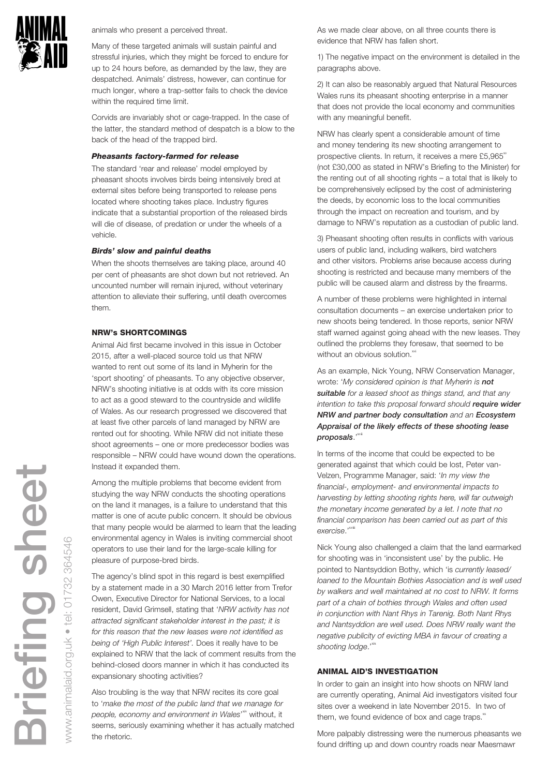

animals who present a perceived threat.

Many of these targeted animals will sustain painful and stressful injuries, which they might be forced to endure for up to 24 hours before, as demanded by the law, they are despatched. Animals' distress, however, can continue for much longer, where a trap-setter fails to check the device within the required time limit.

Corvids are invariably shot or cage-trapped. In the case of the latter, the standard method of despatch is a blow to the back of the head of the trapped bird.

#### *Pheasants factory-farmed for release*

The standard 'rear and release' model employed by pheasant shoots involves birds being intensively bred at external sites before being transported to release pens located where shooting takes place. Industry figures indicate that a substantial proportion of the released birds will die of disease, of predation or under the wheels of a vehicle.

#### *Birds' slow and painful deaths*

When the shoots themselves are taking place, around 40 per cent of pheasants are shot down but not retrieved. An uncounted number will remain injured, without veterinary attention to alleviate their suffering, until death overcomes them.

## NRW's SHORTCOMINGS

Animal Aid first became involved in this issue in October 2015, after a well-placed source told us that NRW wanted to rent out some of its land in Myherin for the 'sport shooting' of pheasants. To any objective observer, NRW's shooting initiative is at odds with its core mission to act as a good steward to the countryside and wildlife of Wales. As our research progressed we discovered that at least five other parcels of land managed by NRW are rented out for shooting. While NRW did not initiate these shoot agreements – one or more predecessor bodies was responsible – NRW could have wound down the operations. Instead it expanded them.

Among the multiple problems that become evident from studying the way NRW conducts the shooting operations on the land it manages, is a failure to understand that this matter is one of acute public concern. It should be obvious that many people would be alarmed to learn that the leading environmental agency in Wales is inviting commercial shoot operators to use their land for the large-scale killing for pleasure of purpose-bred birds.

The agency's blind spot in this regard is best exemplified by a statement made in a 30 March 2016 letter from Trefor Owen, Executive Director for National Services, to a local resident, David Grimsell, stating that '*NRW activity has not attracted significant stakeholder interest in the past; it is for this reason that the new leases were not identified as being of 'High Public Interest'.* Does it really have to be explained to NRW that the lack of comment results from the behind-closed doors manner in which it has conducted its expansionary shooting activities?

Also troubling is the way that NRW recites its core goal to '*make the most of the public land that we manage for*  people, economy and environment in Wales'<sup>xiv</sup> without, it seems, seriously examining whether it has actually matched the rhetoric.

As we made clear above, on all three counts there is evidence that NRW has fallen short.

1) The negative impact on the environment is detailed in the paragraphs above.

2) It can also be reasonably argued that Natural Resources Wales runs its pheasant shooting enterprise in a manner that does not provide the local economy and communities with any meaningful benefit.

NRW has clearly spent a considerable amount of time and money tendering its new shooting arrangement to prospective clients. In return, it receives a mere  $£5,965$ <sup>xv</sup> (not £30,000 as stated in NRW's Briefing to the Minister) for the renting out of all shooting rights – a total that is likely to be comprehensively eclipsed by the cost of administering the deeds, by economic loss to the local communities through the impact on recreation and tourism, and by damage to NRW's reputation as a custodian of public land.

3) Pheasant shooting often results in conflicts with various users of public land, including walkers, bird watchers and other visitors. Problems arise because access during shooting is restricted and because many members of the public will be caused alarm and distress by the firearms.

A number of these problems were highlighted in internal consultation documents – an exercise undertaken prior to new shoots being tendered. In those reports, senior NRW staff warned against going ahead with the new leases. They outlined the problems they foresaw, that seemed to be without an obvious solution.<sup>xvi</sup>

As an example, Nick Young, NRW Conservation Manager, wrote: '*My considered opinion is that Myherin is not suitable for a leased shoot as things stand, and that any intention to take this proposal forward should require wider NRW and partner body consultation and an Ecosystem Appraisal of the likely effects of these shooting lease proposals*.'xvii

In terms of the income that could be expected to be generated against that which could be lost, Peter van-Velzen, Programme Manager, said: '*In my view the financial-, employment- and environmental impacts to harvesting by letting shooting rights here, will far outweigh the monetary income generated by a let. I note that no financial comparison has been carried out as part of this exercise*.'xviii

Nick Young also challenged a claim that the land earmarked for shooting was in 'inconsistent use' by the public. He pointed to Nantsyddion Bothy, which 'is *currently leased/ loaned to the Mountain Bothies Association and is well used by walkers and well maintained at no cost to NRW. It forms part of a chain of bothies through Wales and often used in conjunction with Nant Rhys in Tarenig. Both Nant Rhys and Nantsyddion are well used. Does NRW really want the negative publicity of evicting MBA in favour of creating a*  shooting lodge."

## ANIMAL AID'S INVESTIGATION

In order to gain an insight into how shoots on NRW land are currently operating, Animal Aid investigators visited four sites over a weekend in late November 2015. In two of them, we found evidence of box and cage traps. $\tilde{x}$ 

More palpably distressing were the numerous pheasants we found drifting up and down country roads near Maesmawr

www.animalaid.org.uk • tel: 01732 364546

animalaid.org.uk

 $\gg$ 

 $\bullet$  tel:

01732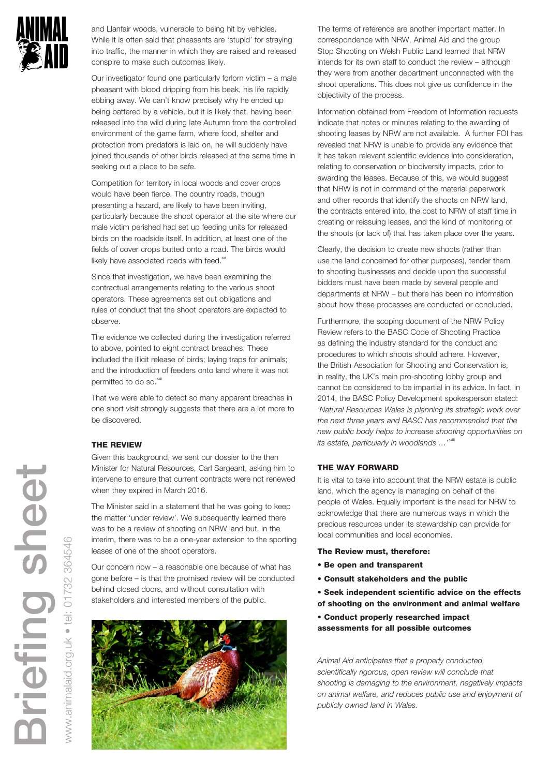

and Llanfair woods, vulnerable to being hit by vehicles. While it is often said that pheasants are 'stupid' for straying into traffic, the manner in which they are raised and released conspire to make such outcomes likely.

Our investigator found one particularly forlorn victim – a male pheasant with blood dripping from his beak, his life rapidly ebbing away. We can't know precisely why he ended up being battered by a vehicle, but it is likely that, having been released into the wild during late Autumn from the controlled environment of the game farm, where food, shelter and protection from predators is laid on, he will suddenly have joined thousands of other birds released at the same time in seeking out a place to be safe.

Competition for territory in local woods and cover crops would have been fierce. The country roads, though presenting a hazard, are likely to have been inviting, particularly because the shoot operator at the site where our male victim perished had set up feeding units for released birds on the roadside itself. In addition, at least one of the fields of cover crops butted onto a road. The birds would likely have associated roads with feed. $\mathbf{x}$ 

Since that investigation, we have been examining the contractual arrangements relating to the various shoot operators. These agreements set out obligations and rules of conduct that the shoot operators are expected to observe.

The evidence we collected during the investigation referred to above, pointed to eight contract breaches. These included the illicit release of birds; laying traps for animals; and the introduction of feeders onto land where it was not permitted to do so.<sup>xxii</sup>

That we were able to detect so many apparent breaches in one short visit strongly suggests that there are a lot more to be discovered.

## THE REVIEW

Given this background, we sent our dossier to the then Minister for Natural Resources, Carl Sargeant, asking him to intervene to ensure that current contracts were not renewed when they expired in March 2016.

The Minister said in a statement that he was going to keep the matter 'under review'. We subsequently learned there was to be a review of shooting on NRW land but, in the interim, there was to be a one-year extension to the sporting leases of one of the shoot operators.

Our concern now – a reasonable one because of what has gone before – is that the promised review will be conducted behind closed doors, and without consultation with stakeholders and interested members of the public.



The terms of reference are another important matter. In correspondence with NRW, Animal Aid and the group Stop Shooting on Welsh Public Land learned that NRW intends for its own staff to conduct the review – although they were from another department unconnected with the shoot operations. This does not give us confidence in the objectivity of the process.

Information obtained from Freedom of Information requests indicate that notes or minutes relating to the awarding of shooting leases by NRW are not available. A further FOI has revealed that NRW is unable to provide any evidence that it has taken relevant scientific evidence into consideration, relating to conservation or biodiversity impacts, prior to awarding the leases. Because of this, we would suggest that NRW is not in command of the material paperwork and other records that identify the shoots on NRW land, the contracts entered into, the cost to NRW of staff time in creating or reissuing leases, and the kind of monitoring of the shoots (or lack of) that has taken place over the years.

Clearly, the decision to create new shoots (rather than use the land concerned for other purposes), tender them to shooting businesses and decide upon the successful bidders must have been made by several people and departments at NRW – but there has been no information about how these processes are conducted or concluded.

Furthermore, the scoping document of the NRW Policy Review refers to the BASC Code of Shooting Practice as defining the industry standard for the conduct and procedures to which shoots should adhere. However, the British Association for Shooting and Conservation is, in reality, the UK's main pro-shooting lobby group and cannot be considered to be impartial in its advice. In fact, in 2014, the BASC Policy Development spokesperson stated: *'Natural Resources Wales is planning its strategic work over the next three years and BASC has recommended that the new public body helps to increase shooting opportunities on*  its estate, particularly in woodlands ...<sup>, xxii</sup>  $\mathbf{r}$ 

## THE WAY FORWARD

It is vital to take into account that the NRW estate is public land, which the agency is managing on behalf of the people of Wales. Equally important is the need for NRW to acknowledge that there are numerous ways in which the precious resources under its stewardship can provide for local communities and local economies.

## The Review must, therefore:

- Be open and transparent
- Consult stakeholders and the public
- Seek independent scientific advice on the effects of shooting on the environment and animal welfare
- Conduct properly researched impact assessments for all possible outcomes

*Animal Aid anticipates that a properly conducted, scientifically rigorous, open review will conclude that shooting is damaging to the environment, negatively impacts on animal welfare, and reduces public use and enjoyment of publicly owned land in Wales.*

g sheet Briefing sheet jefing

www.animalaid.org.uk • tel: 01732 364546

animalaid.org.uk

NNVN.

 $\frac{1}{\sqrt{2}}$ 

364546

732  $\overline{C}$